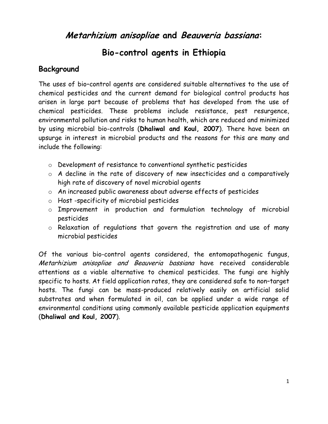# **Metarhizium anisopliae and Beauveria bassiana:**

# **Bio-control agents in Ethiopia**

# **Background**

The uses of bio–control agents are considered suitable alternatives to the use of chemical pesticides and the current demand for biological control products has arisen in large part because of problems that has developed from the use of chemical pesticides. These problems include resistance, pest resurgence, environmental pollution and risks to human health, which are reduced and minimized by using microbial bio-controls (**Dhaliwal and Koul, 2007**). There have been an upsurge in interest in microbial products and the reasons for this are many and include the following:

- o Development of resistance to conventional synthetic pesticides
- o A decline in the rate of discovery of new insecticides and a comparatively high rate of discovery of novel microbial agents
- o An increased public awareness about adverse effects of pesticides
- o Host -specificity of microbial pesticides
- o Improvement in production and formulation technology of microbial pesticides
- o Relaxation of regulations that govern the registration and use of many microbial pesticides

Of the various bio-control agents considered, the entomopathogenic fungus, Metarhizium anisopliae and Beauveria bassiana have received considerable attentions as a viable alternative to chemical pesticides. The fungi are highly specific to hosts. At field application rates, they are considered safe to non–target hosts. The fungi can be mass-produced relatively easily on artificial solid substrates and when formulated in oil, can be applied under a wide range of environmental conditions using commonly available pesticide application equipments (**Dhaliwal and Koul, 2007**).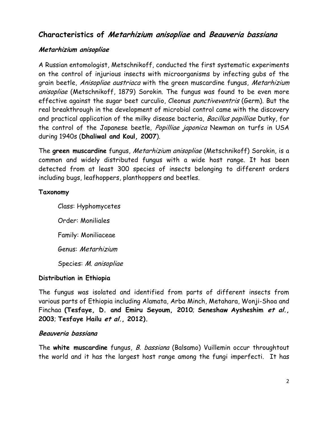# **Characteristics of Metarhizium anisopliae and Beauveria bassiana**

### **Metarhizium anisopliae**

A Russian entomologist, Metschnikoff, conducted the first systematic experiments on the control of injurious insects with microorganisms by infecting gubs of the grain beetle, Anisopliae austriaca with the green muscardine fungus, Metarhizium anisopliae (Metschnikoff, 1879) Sorokin. The fungus was found to be even more effective against the sugar beet curculio, Cleonus punctiveventris (Germ). But the real breakthrough in the development of microbial control came with the discovery and practical application of the milky disease bacteria, Bacillus popilliae Dutky, for the control of the Japanese beetle, Popilliae japonica Newman on turfs in USA during 1940s (**Dhaliwal and Koul, 2007**).

The **green muscardine** fungus, Metarhizium anisopliae (Metschnikoff) Sorokin, is a common and widely distributed fungus with a wide host range. It has been detected from at least 300 species of insects belonging to different orders including bugs, leafhoppers, planthoppers and beetles.

#### **Taxonomy**

Class: Hyphomycetes Order: Moniliales Family: Moniliaceae Genus: Metarhizium Species: M. anisopliae

#### **Distribution in Ethiopia**

The fungus was isolated and identified from parts of different insects from various parts of Ethiopia including Alamata, Arba Minch, Metahara, Wonji-Shoa and Finchaa **(Tesfaye, D. and Emiru Seyoum, 2010**; **Seneshaw Aysheshim et al., 2003**; **Tesfaye Hailu et al., 2012).**

#### **Beauveria bassiana**

The **white muscardine** fungus, B. bassiana (Balsamo) Vuillemin occur throughtout the world and it has the largest host range among the fungi imperfecti. It has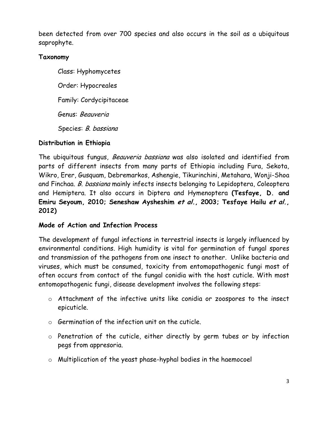been detected from over 700 species and also occurs in the soil as a ubiquitous saprophyte.

### **Taxonomy**

Class: Hyphomycetes Order: Hypocreales Family: Cordycipitaceae Genus: Beauveria Species: B. bassiana

## **Distribution in Ethiopia**

The ubiquitous fungus, Beauveria bassiana was also isolated and identified from parts of different insects from many parts of Ethiopia including Fura, Sekota, Wikro, Erer, Gusquam, Debremarkos, Ashengie, Tikurinchini, Metahara, Wonji-Shoa and Finchaa. B. bassiana mainly infects insects belonging to Lepidoptera, Coleoptera and Hemiptera. It also occurs in Diptera and Hymenoptera **(Tesfaye, D. and Emiru Seyoum, 2010; Seneshaw Aysheshim et al., 2003; Tesfaye Hailu et al., 2012)**

#### **Mode of Action and Infection Process**

The development of fungal infections in terrestrial insects is largely influenced by environmental conditions. High humidity is vital for germination of fungal spores and transmission of the pathogens from one insect to another. Unlike bacteria and viruses, which must be consumed, toxicity from entomopathogenic fungi most of often occurs from contact of the fungal conidia with the host cuticle. With most entomopathogenic fungi, disease development involves the following steps:

- o Attachment of the infective units like conidia or zoospores to the insect epicuticle.
- o Germination of the infection unit on the cuticle.
- o Penetration of the cuticle, either directly by germ tubes or by infection pegs from appresoria.
- o Multiplication of the yeast phase-hyphal bodies in the haemocoel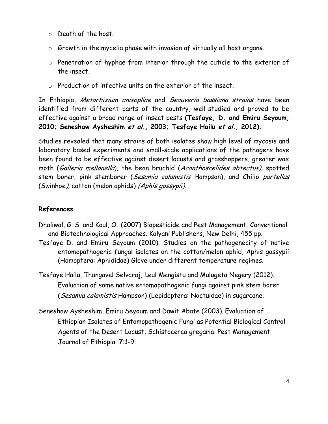- o Death of the host.
- o Growth in the mycelia phase with invasion of virtually all host organs.
- o Penetration of hyphae from interior through the cuticle to the exterior of the insect.
- o Production of infective units on the exterior of the insect.

In Ethiopia, Metarhizium anisopliae and Beauveria bassiana strains have been identified from different parts of the country, well-studied and proved to be effective against a broad range of insect pests **(Tesfaye, D. and Emiru Seyoum, 2010; Seneshaw Aysheshim et al., 2003; Tesfaye Hailu et al., 2012).**

Studies revealed that many strains of both isolates show high level of mycosis and laboratory based experiments and small-scale applications of the pathogens have been found to be effective against desert locusts and grasshoppers, greater wax moth (Galleria mellonella), the bean bruchid (Acanthoscelides obtectus), spotted stem borer, pink stemborer (Sesamia calamistis Hampson), and Chilio partellus (Swinhoe), cotton (melon aphids) (Aphis gossypii).

## **References**

- Dhaliwal, G. S. and Koul, O. (2007) Biopesticide and Pest Management: Conventional and Biotechnological Approaches. Kalyani Publishers, New Delhi, 455 pp.
- Tesfaye D. and Emiru Seyoum (2010). Studies on the pathogenecity of native entomopathogenic fungal isolates on the cotton/melon aphid, Aphis gossypii (Homoptera: Aphididae) Glove under different temperature regimes.
- Tesfaye Hailu, Thangavel Selvaraj, Leul Mengistu and Mulugeta Negery (2012). Evaluation of some native entomopathogenic fungi against pink stem borer (Sesamia calamistis Hampson) (Lepidoptera: Noctuidae) in sugarcane.
- Seneshaw Aysheshim, Emiru Seyoum and Dawit Abate (2003). Evaluation of Ethiopian Isolates of Entomopathogenic Fungi as Potential Biological Control Agents of the Desert Locust, Schistocerca gregaria. Pest Management Journal of Ethiopia. **7**:1-9.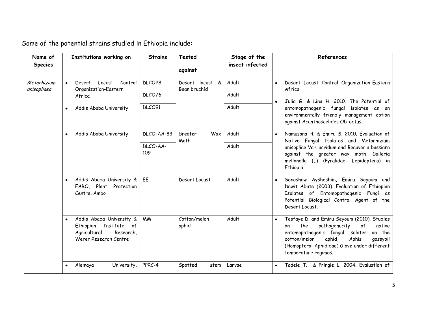| Name of<br><b>Species</b>  | Institutions working on                                                                                                  | <b>Strains</b>  | <b>Tested</b><br>against              | Stage of the<br>insect infected | References                                                                                                                                                                                                                                                                  |
|----------------------------|--------------------------------------------------------------------------------------------------------------------------|-----------------|---------------------------------------|---------------------------------|-----------------------------------------------------------------------------------------------------------------------------------------------------------------------------------------------------------------------------------------------------------------------------|
| Metarhizium<br>anisopliaea | Desert<br>Locust<br>Control<br>$\bullet$<br>Organization-Eastern                                                         | DLCO28          | Desert<br>locust<br>&<br>Bean bruchid | Adult                           | Desert Locust Control Organization-Eastern<br>$\bullet$<br>Africa.                                                                                                                                                                                                          |
|                            | Africa                                                                                                                   | DLCO76          |                                       | Adult                           | Julia G. & Lina H. 2010. The Potential of<br>$\bullet$                                                                                                                                                                                                                      |
|                            | Addis Ababa University                                                                                                   | DLCO91          |                                       | Adult                           | entomopathogenic fungal isolates as an<br>environmentally friendly management option<br>against Acanthoscelides Obtectus.                                                                                                                                                   |
|                            | Addis Ababa University                                                                                                   | DLCO-AA-83      | Greater<br>Wax<br>Moth                | Adult                           | Namusana H. & Emiru S. 2010. Evaluation of<br>Native Fungal Isolates and Metarhizium                                                                                                                                                                                        |
|                            |                                                                                                                          | DLCO-AA-<br>109 |                                       | Adult                           | anisopliae Var. acridum and Beauveria bassiana<br>against the greater wax moth, Galleria<br>mellonella (L) (Pyralidae: Lepidoptera) in<br>Ethiopia.                                                                                                                         |
|                            | Addis Ababa University &<br>EARO, Plant<br>Protection<br>Centre, Ambo                                                    | EE              | Desert Locust                         | Adult                           | Seneshaw Aysheshim, Emiru Seyoum and<br>$\bullet$<br>Dawit Abate (2003). Evaluation of Ethiopian<br>Isolates of Entomopathogenic Fungi as<br>Potential Biological Control Agent of the<br>Desert Locust.                                                                    |
|                            | Addis Ababa University &<br>$\bullet$<br>Ethiopian<br>Institute of<br>Agricultural<br>Research,<br>Werer Research Centre | <b>MM</b>       | Cotton/melon<br>aphid                 | Adult                           | Tesfaye D. and Emiru Seyoum (2010). Studies<br>$\bullet$<br>the<br>pathogenecity<br>of<br>native<br>on<br>entomopathogenic fungal isolates<br>on the<br>aphid,<br>cotton/melon<br>Aphis<br>qossypii<br>(Homoptera: Aphididae) Glove under different<br>temperature regimes. |
|                            | University,<br>Alemaya                                                                                                   | PPRC-4          | Spotted<br>stem                       | Larvae                          | Tadele T. & Pringle L. 2004. Evaluation of<br>$\bullet$                                                                                                                                                                                                                     |

Some of the potential strains studied in Ethiopia include: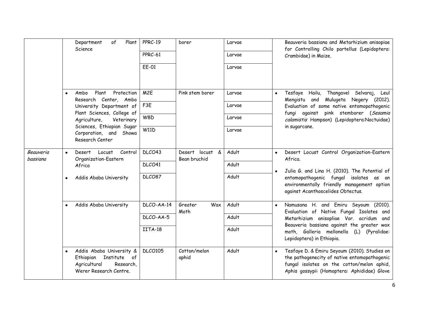|                              |                        | of<br>Plant<br>Department<br>Science                                                                                                                                                                                   | PPRC-19<br>PPRC-61<br>EE-01 | borer                           | Larvae<br>Larvae<br>Larvae |           | Beauveria bassiana and Metarhizium anisopiae<br>for Controlling Chilo partellus (Lepidoptera:<br>Crambidae) in Maize.                                                                                                                               |
|------------------------------|------------------------|------------------------------------------------------------------------------------------------------------------------------------------------------------------------------------------------------------------------|-----------------------------|---------------------------------|----------------------------|-----------|-----------------------------------------------------------------------------------------------------------------------------------------------------------------------------------------------------------------------------------------------------|
|                              | $\bullet$              | Plant<br>Protection<br>Ambo<br>Research Center, Ambo<br>University Department of<br>Plant Sciences, College of<br>Agriculture,<br>Veterinary<br>Sciences, Ethiopian Sugar<br>Corporation, and Showa<br>Research Center | M <sub>2E</sub>             | Pink stem borer                 | Larvae                     | $\bullet$ | Tesfaye<br>Hailu, Thangavel Selvaraj,<br>Leul<br>Mengistu and Mulugeta Negery (2012).<br>Evaluation of some native entomopathogenic<br>fungi against pink stemborer (Sesamia<br>calamistis Hampson) (Lepidoptera:Noctuidae)<br>in sugarcane.        |
|                              |                        |                                                                                                                                                                                                                        | F <sub>3E</sub>             |                                 | Larvae                     |           |                                                                                                                                                                                                                                                     |
|                              |                        |                                                                                                                                                                                                                        | W8D                         |                                 | Larvae                     |           |                                                                                                                                                                                                                                                     |
|                              |                        |                                                                                                                                                                                                                        | <b>W11D</b>                 |                                 | Larvae                     |           |                                                                                                                                                                                                                                                     |
| <b>Beauveria</b><br>bassiana | $\bullet$<br>$\bullet$ | Control<br>Desert<br>Locust<br>Organization-Eastern<br>Africa                                                                                                                                                          | DLCO43                      | Desert locust &<br>Bean bruchid | Adult                      | $\bullet$ | Desert Locust Control Organization-Eastern<br>Africa.                                                                                                                                                                                               |
|                              |                        |                                                                                                                                                                                                                        | DLCO41                      |                                 | Adult                      | $\bullet$ | Julia G. and Lina H. (2010). The Potential of                                                                                                                                                                                                       |
|                              |                        | Addis Ababa University                                                                                                                                                                                                 | DLCO87                      |                                 | Adult                      |           | entomopathogenic fungal isolates as an<br>environmentally friendly management option<br>against Acanthoscelides Obtectus.                                                                                                                           |
|                              |                        | Addis Ababa University                                                                                                                                                                                                 | DLCO-AA-14                  | Greater<br>Wax<br>Moth          | Adult                      | $\bullet$ | Namusana H. and Emiru Seyoum (2010).<br>Evaluation of Native Fungal Isolates and<br>Metarhizium anisopliae Var. acridum and<br>Beauveria bassiana against the greater wax<br>moth, Galleria mellonella (L) (Pyralidae:<br>Lepidoptera) in Ethiopia. |
|                              |                        |                                                                                                                                                                                                                        | DLCO-AA-5                   |                                 | Adult                      |           |                                                                                                                                                                                                                                                     |
|                              |                        |                                                                                                                                                                                                                        | IITA-18                     |                                 | Adult                      |           |                                                                                                                                                                                                                                                     |
|                              | $\bullet$              | Addis Ababa University &<br>Institute of<br>Ethiopian<br>Agricultural<br>Research.<br>Werer Research Centre.                                                                                                           | <b>DLCO105</b>              | Cotton/melon<br>aphid           | Adult                      | $\bullet$ | Tesfaye D. & Emiru Seyoum (2010). Studies on<br>the pathogenecity of native entomopathogenic<br>fungal isolates on the cotton/melon aphid,<br>Aphis gossypii (Homoptera: Aphididae) Glove                                                           |